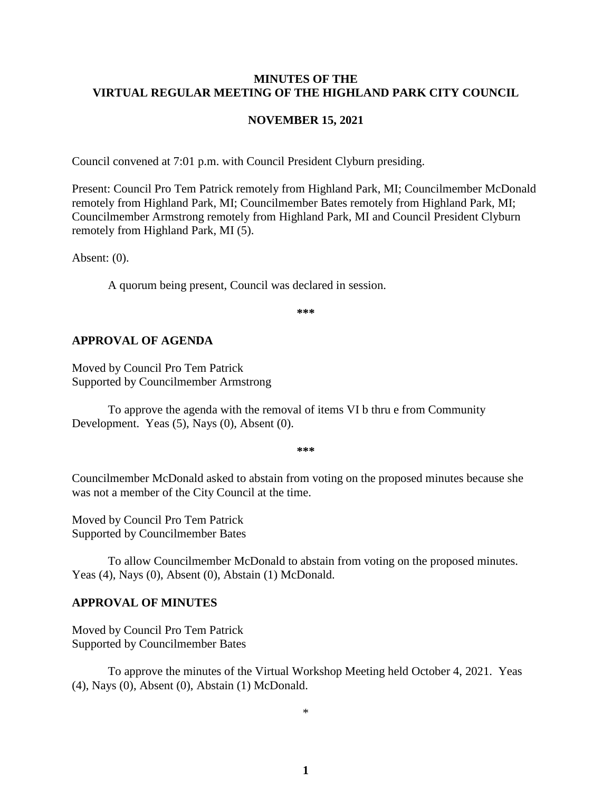#### **MINUTES OF THE VIRTUAL REGULAR MEETING OF THE HIGHLAND PARK CITY COUNCIL**

#### **NOVEMBER 15, 2021**

Council convened at 7:01 p.m. with Council President Clyburn presiding.

Present: Council Pro Tem Patrick remotely from Highland Park, MI; Councilmember McDonald remotely from Highland Park, MI; Councilmember Bates remotely from Highland Park, MI; Councilmember Armstrong remotely from Highland Park, MI and Council President Clyburn remotely from Highland Park, MI (5).

Absent: (0).

A quorum being present, Council was declared in session.

**\*\*\***

#### **APPROVAL OF AGENDA**

Moved by Council Pro Tem Patrick Supported by Councilmember Armstrong

To approve the agenda with the removal of items VI b thru e from Community Development. Yeas (5), Nays (0), Absent (0).

**\*\*\***

Councilmember McDonald asked to abstain from voting on the proposed minutes because she was not a member of the City Council at the time.

Moved by Council Pro Tem Patrick Supported by Councilmember Bates

To allow Councilmember McDonald to abstain from voting on the proposed minutes. Yeas (4), Nays (0), Absent (0), Abstain (1) McDonald.

#### **APPROVAL OF MINUTES**

Moved by Council Pro Tem Patrick Supported by Councilmember Bates

To approve the minutes of the Virtual Workshop Meeting held October 4, 2021.Yeas (4), Nays (0), Absent (0), Abstain (1) McDonald.

\*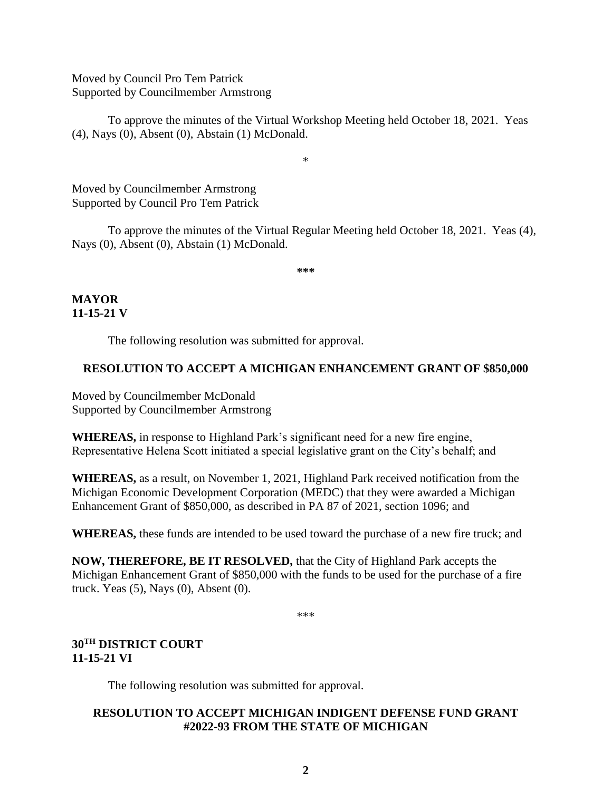Moved by Council Pro Tem Patrick Supported by Councilmember Armstrong

To approve the minutes of the Virtual Workshop Meeting held October 18, 2021.Yeas (4), Nays (0), Absent (0), Abstain (1) McDonald.

\*

Moved by Councilmember Armstrong Supported by Council Pro Tem Patrick

To approve the minutes of the Virtual Regular Meeting held October 18, 2021.Yeas (4), Nays (0), Absent (0), Abstain (1) McDonald.

**\*\*\***

**MAYOR 11-15-21 V**

The following resolution was submitted for approval.

## **RESOLUTION TO ACCEPT A MICHIGAN ENHANCEMENT GRANT OF \$850,000**

Moved by Councilmember McDonald Supported by Councilmember Armstrong

**WHEREAS,** in response to Highland Park's significant need for a new fire engine, Representative Helena Scott initiated a special legislative grant on the City's behalf; and

**WHEREAS,** as a result, on November 1, 2021, Highland Park received notification from the Michigan Economic Development Corporation (MEDC) that they were awarded a Michigan Enhancement Grant of \$850,000, as described in PA 87 of 2021, section 1096; and

**WHEREAS,** these funds are intended to be used toward the purchase of a new fire truck; and

**NOW, THEREFORE, BE IT RESOLVED,** that the City of Highland Park accepts the Michigan Enhancement Grant of \$850,000 with the funds to be used for the purchase of a fire truck. Yeas (5), Nays (0), Absent (0).

\*\*\*

## **30TH DISTRICT COURT 11-15-21 VI**

The following resolution was submitted for approval.

## **RESOLUTION TO ACCEPT MICHIGAN INDIGENT DEFENSE FUND GRANT #2022-93 FROM THE STATE OF MICHIGAN**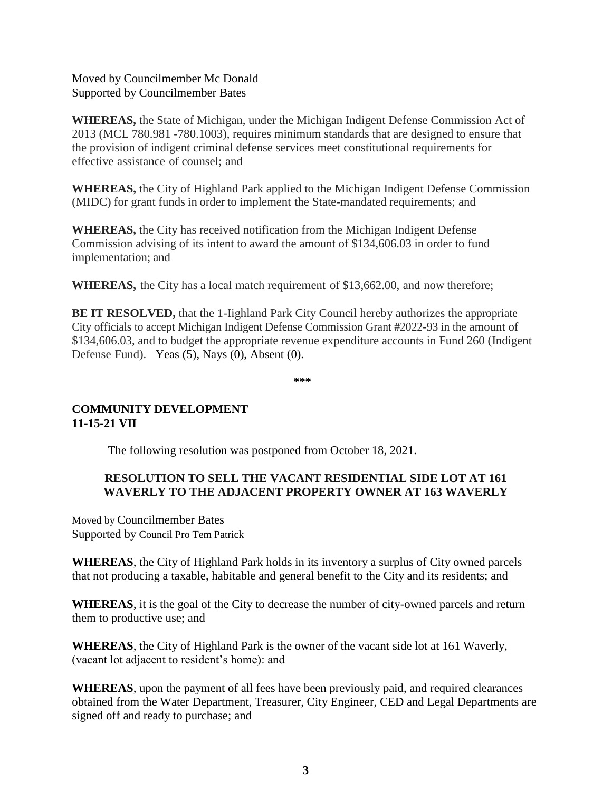Moved by Councilmember Mc Donald Supported by Councilmember Bates

**WHEREAS,** the State of Michigan, under the Michigan Indigent Defense Commission Act of 2013 (MCL 780.981 -780.1003), requires minimum standards that are designed to ensure that the provision of indigent criminal defense services meet constitutional requirements for effective assistance of counsel; and

**WHEREAS,** the City of Highland Park applied to the Michigan Indigent Defense Commission (MIDC) for grant funds in order to implement the State-mandated requirements; and

**WHEREAS,** the City has received notification from the Michigan Indigent Defense Commission advising of its intent to award the amount of \$134,606.03 in order to fund implementation; and

**WHEREAS,** the City has a local match requirement of \$13,662.00, and now therefore;

**BE IT RESOLVED,** that the 1-Iighland Park City Council hereby authorizes the appropriate City officials to accept Michigan Indigent Defense Commission Grant #2022-93 in the amount of \$134,606.03, and to budget the appropriate revenue expenditure accounts in Fund 260 (Indigent Defense Fund). Yeas (5), Nays (0), Absent (0).

**\*\*\***

## **COMMUNITY DEVELOPMENT 11-15-21 VII**

The following resolution was postponed from October 18, 2021.

## **RESOLUTION TO SELL THE VACANT RESIDENTIAL SIDE LOT AT 161 WAVERLY TO THE ADJACENT PROPERTY OWNER AT 163 WAVERLY**

Moved by Councilmember Bates Supported by Council Pro Tem Patrick

**WHEREAS**, the City of Highland Park holds in its inventory a surplus of City owned parcels that not producing a taxable, habitable and general benefit to the City and its residents; and

**WHEREAS**, it is the goal of the City to decrease the number of city-owned parcels and return them to productive use; and

**WHEREAS**, the City of Highland Park is the owner of the vacant side lot at 161 Waverly, (vacant lot adjacent to resident's home): and

**WHEREAS**, upon the payment of all fees have been previously paid, and required clearances obtained from the Water Department, Treasurer, City Engineer, CED and Legal Departments are signed off and ready to purchase; and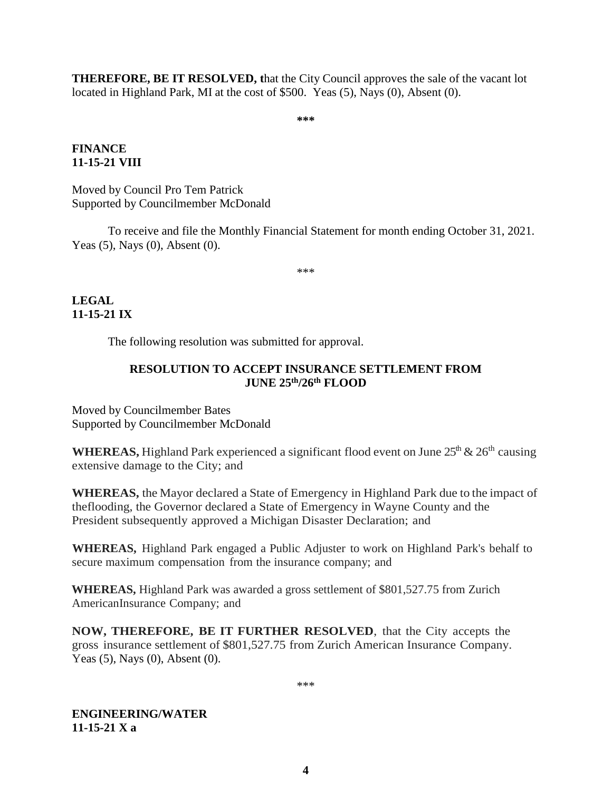**THEREFORE, BE IT RESOLVED, t**hat the City Council approves the sale of the vacant lot located in Highland Park, MI at the cost of \$500. Yeas (5), Nays (0), Absent (0).

**\*\*\***

#### **FINANCE 11-15-21 VIII**

Moved by Council Pro Tem Patrick Supported by Councilmember McDonald

To receive and file the Monthly Financial Statement for month ending October 31, 2021. Yeas (5), Nays (0), Absent (0).

\*\*\*

**LEGAL 11-15-21 IX**

The following resolution was submitted for approval.

## **RESOLUTION TO ACCEPT INSURANCE SETTLEMENT FROM JUNE 25th/26th FLOOD**

Moved by Councilmember Bates Supported by Councilmember McDonald

**WHEREAS,** Highland Park experienced a significant flood event on June  $25<sup>th</sup> \& 26<sup>th</sup>$  causing extensive damage to the City; and

**WHEREAS,** the Mayor declared a State of Emergency in Highland Park due to the impact of theflooding, the Governor declared a State of Emergency in Wayne County and the President subsequently approved a Michigan Disaster Declaration; and

**WHEREAS,** Highland Park engaged a Public Adjuster to work on Highland Park's behalf to secure maximum compensation from the insurance company; and

**WHEREAS,** Highland Park was awarded a gross settlement of \$801,527.75 from Zurich AmericanInsurance Company; and

**NOW, THEREFORE, BE IT FURTHER RESOLVED**, that the City accepts the gross insurance settlement of \$801,527.75 from Zurich American Insurance Company. Yeas (5), Nays (0), Absent (0).

\*\*\*

**ENGINEERING/WATER 11-15-21 X a**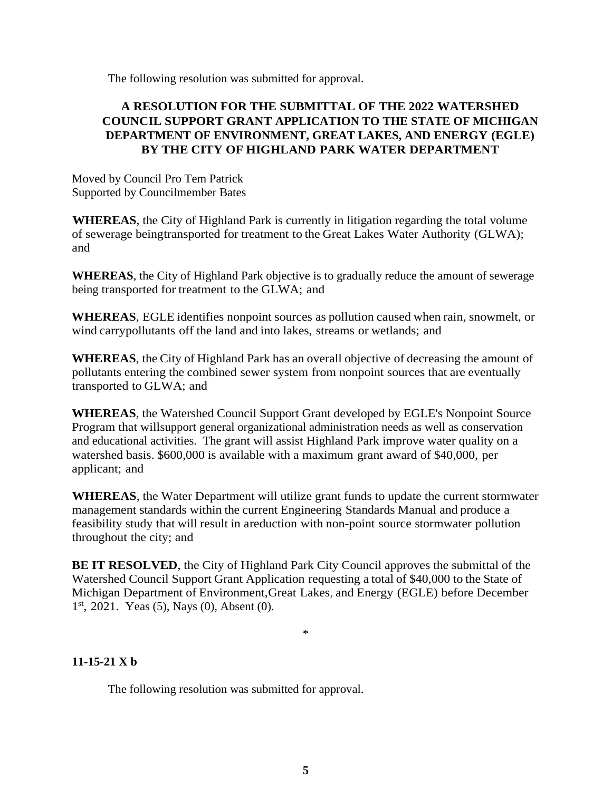The following resolution was submitted for approval.

## **A RESOLUTION FOR THE SUBMITTAL OF THE 2022 WATERSHED COUNCIL SUPPORT GRANT APPLICATION TO THE STATE OF MICHIGAN DEPARTMENT OF ENVIRONMENT, GREAT LAKES, AND ENERGY (EGLE) BY THE CITY OF HIGHLAND PARK WATER DEPARTMENT**

Moved by Council Pro Tem Patrick Supported by Councilmember Bates

**WHEREAS**, the City of Highland Park is currently in litigation regarding the total volume of sewerage beingtransported for treatment to the Great Lakes Water Authority (GLWA); and

**WHEREAS**, the City of Highland Park objective is to gradually reduce the amount of sewerage being transported for treatment to the GLWA; and

**WHEREAS**, EGLE identifies nonpoint sources as pollution caused when rain, snowmelt, or wind carrypollutants off the land and into lakes, streams or wetlands; and

**WHEREAS**, the City of Highland Park has an overall objective of decreasing the amount of pollutants entering the combined sewer system from nonpoint sources that are eventually transported to GLWA; and

**WHEREAS**, the Watershed Council Support Grant developed by EGLE's Nonpoint Source Program that willsupport general organizational administration needs as well as conservation and educational activities. The grant will assist Highland Park improve water quality on a watershed basis. \$600,000 is available with a maximum grant award of \$40,000, per applicant; and

**WHEREAS**, the Water Department will utilize grant funds to update the current stormwater management standards within the current Engineering Standards Manual and produce a feasibility study that will result in areduction with non-point source stormwater pollution throughout the city; and

**BE IT RESOLVED**, the City of Highland Park City Council approves the submittal of the Watershed Council Support Grant Application requesting a total of \$40,000 to the State of Michigan Department of Environment,Great Lakes, and Energy (EGLE) before December 1<sup>st</sup>, 2021. Yeas (5), Nays (0), Absent (0).

\*

# **11-15-21 X b**

The following resolution was submitted for approval.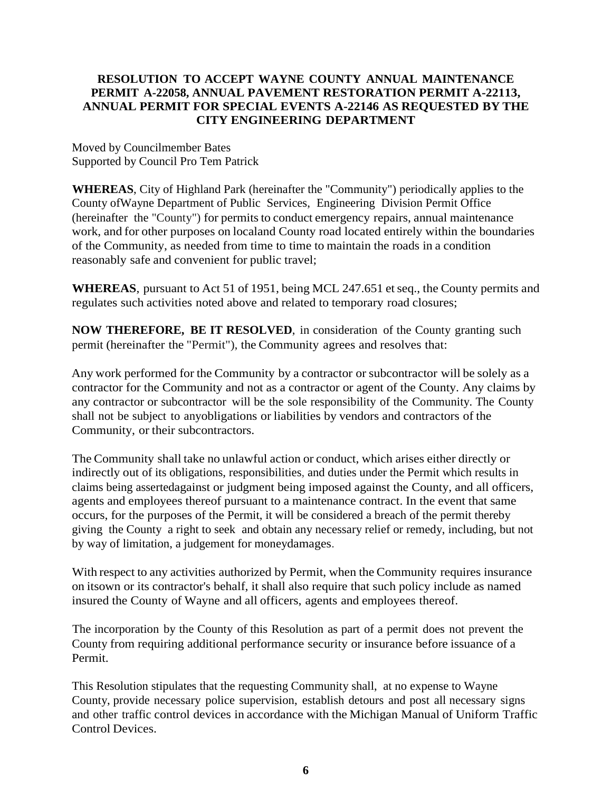## **RESOLUTION TO ACCEPT WAYNE COUNTY ANNUAL MAINTENANCE PERMIT A-22058, ANNUAL PAVEMENT RESTORATION PERMIT A-22113, ANNUAL PERMIT FOR SPECIAL EVENTS A-22146 AS REQUESTED BY THE CITY ENGINEERING DEPARTMENT**

Moved by Councilmember Bates Supported by Council Pro Tem Patrick

**WHEREAS**, City of Highland Park (hereinafter the "Community") periodically applies to the County ofWayne Department of Public Services, Engineering Division Permit Office (hereinafter the "County") for permits to conduct emergency repairs, annual maintenance work, and for other purposes on localand County road located entirely within the boundaries of the Community, as needed from time to time to maintain the roads in a condition reasonably safe and convenient for public travel;

WHEREAS, pursuant to Act 51 of 1951, being MCL 247.651 et seq., the County permits and regulates such activities noted above and related to temporary road closures;

**NOW THEREFORE, BE IT RESOLVED**, in consideration of the County granting such permit (hereinafter the "Permit"), the Community agrees and resolves that:

Any work performed for the Community by a contractor or subcontractor will be solely as a contractor for the Community and not as a contractor or agent of the County. Any claims by any contractor or subcontractor will be the sole responsibility of the Community. The County shall not be subject to anyobligations or liabilities by vendors and contractors of the Community, or their subcontractors.

The Community shall take no unlawful action or conduct, which arises either directly or indirectly out of its obligations, responsibilities, and duties under the Permit which results in claims being assertedagainst or judgment being imposed against the County, and all officers, agents and employees thereof pursuant to a maintenance contract. In the event that same occurs, for the purposes of the Permit, it will be considered a breach of the permit thereby giving the County a right to seek and obtain any necessary relief or remedy, including, but not by way of limitation, a judgement for moneydamages.

With respect to any activities authorized by Permit, when the Community requires insurance on itsown or its contractor's behalf, it shall also require that such policy include as named insured the County of Wayne and all officers, agents and employees thereof.

The incorporation by the County of this Resolution as part of a permit does not prevent the County from requiring additional performance security or insurance before issuance of a Permit.

This Resolution stipulates that the requesting Community shall, at no expense to Wayne County, provide necessary police supervision, establish detours and post all necessary signs and other traffic control devices in accordance with the Michigan Manual of Uniform Traffic Control Devices.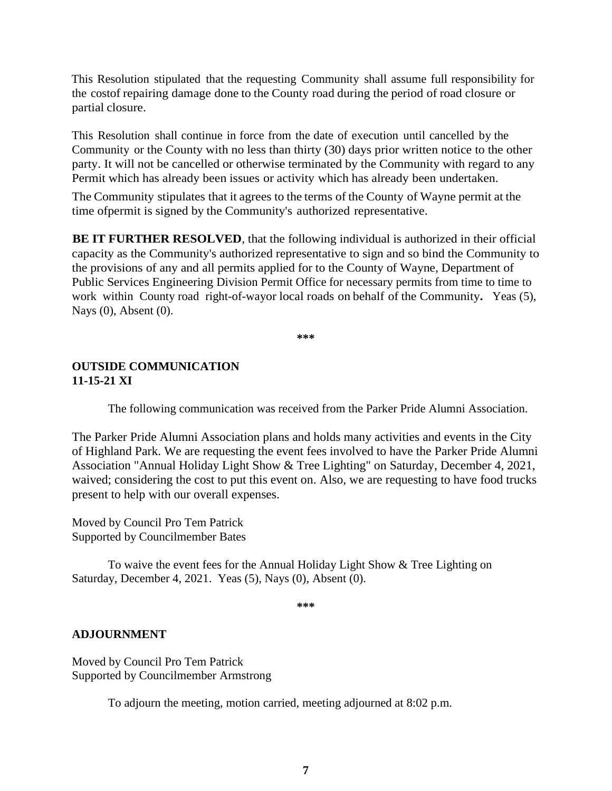This Resolution stipulated that the requesting Community shall assume full responsibility for the costof repairing damage done to the County road during the period of road closure or partial closure.

This Resolution shall continue in force from the date of execution until cancelled by the Community or the County with no less than thirty (30) days prior written notice to the other party. It will not be cancelled or otherwise terminated by the Community with regard to any Permit which has already been issues or activity which has already been undertaken.

The Community stipulates that it agrees to the terms of the County of Wayne permit at the time ofpermit is signed by the Community's authorized representative.

**BE IT FURTHER RESOLVED**, that the following individual is authorized in their official capacity as the Community's authorized representative to sign and so bind the Community to the provisions of any and all permits applied for to the County of Wayne, Department of Public Services Engineering Division Permit Office for necessary permits from time to time to work within County road right-of-wayor local roads on behalf of the Community**.** Yeas (5), Nays (0), Absent (0).

**\*\*\***

## **OUTSIDE COMMUNICATION 11-15-21 XI**

The following communication was received from the Parker Pride Alumni Association.

The Parker Pride Alumni Association plans and holds many activities and events in the City of Highland Park. We are requesting the event fees involved to have the Parker Pride Alumni Association "Annual Holiday Light Show & Tree Lighting" on Saturday, December 4, 2021, waived; considering the cost to put this event on. Also, we are requesting to have food trucks present to help with our overall expenses.

Moved by Council Pro Tem Patrick Supported by Councilmember Bates

To waive the event fees for the Annual Holiday Light Show & Tree Lighting on Saturday, December 4, 2021. Yeas (5), Nays (0), Absent (0).

**\*\*\***

## **ADJOURNMENT**

Moved by Council Pro Tem Patrick Supported by Councilmember Armstrong

To adjourn the meeting, motion carried, meeting adjourned at 8:02 p.m.